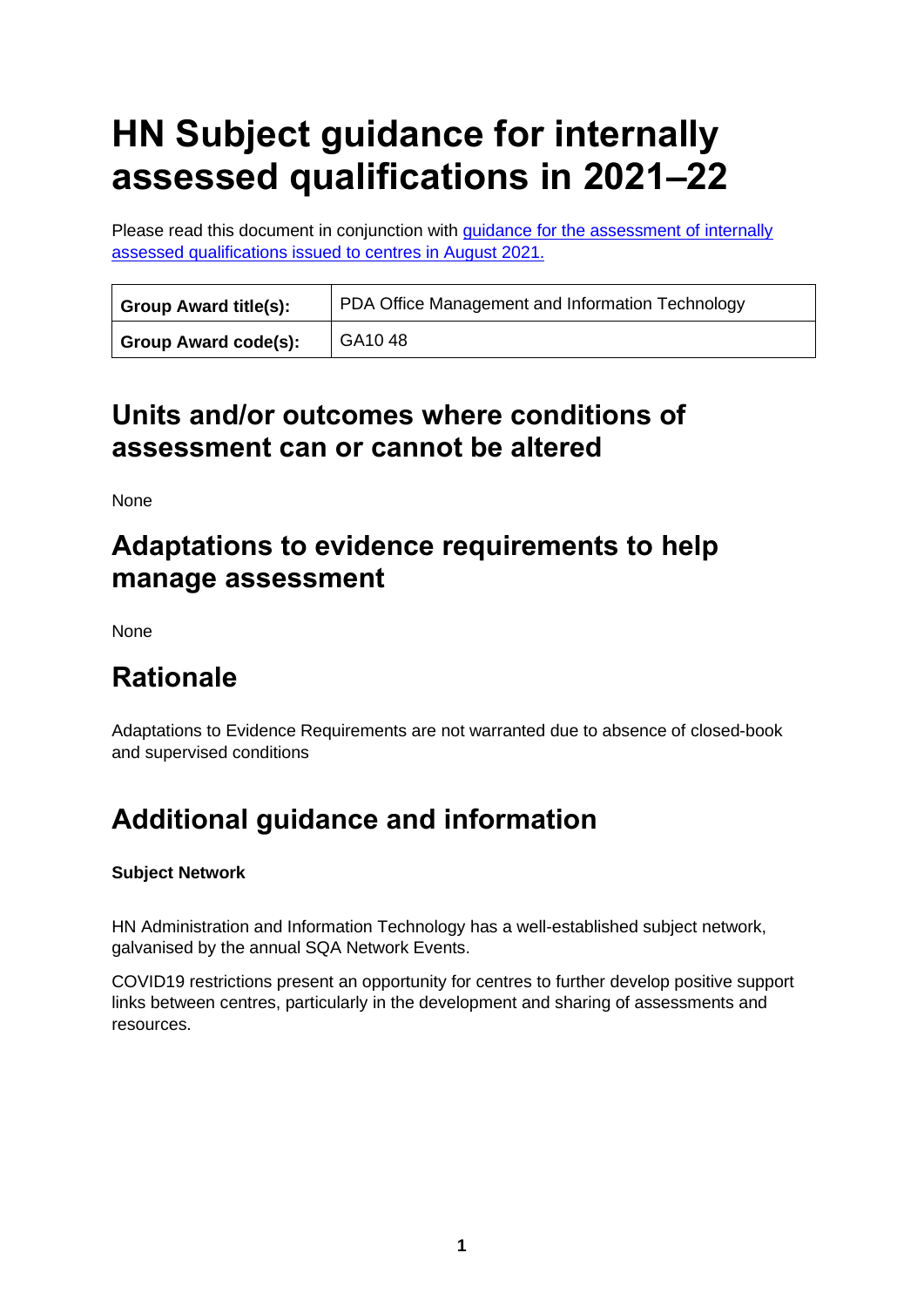# **HN Subject guidance for internally assessed qualifications in 2021–22**

Please read this document in conjunction with [guidance for the assessment of internally](https://www.sqa.org.uk/sqa/95044.html)  [assessed qualifications issued to centres in August 2021.](https://www.sqa.org.uk/sqa/95044.html)

| <b>Group Award title(s):</b> | PDA Office Management and Information Technology |
|------------------------------|--------------------------------------------------|
| Group Award code(s):         | GA <sub>10</sub> 48                              |

## **Units and/or outcomes where conditions of assessment can or cannot be altered**

None

## **Adaptations to evidence requirements to help manage assessment**

None

# **Rationale**

Adaptations to Evidence Requirements are not warranted due to absence of closed-book and supervised conditions

# **Additional guidance and information**

#### **Subject Network**

HN Administration and Information Technology has a well-established subject network, galvanised by the annual SQA Network Events.

COVID19 restrictions present an opportunity for centres to further develop positive support links between centres, particularly in the development and sharing of assessments and resources.